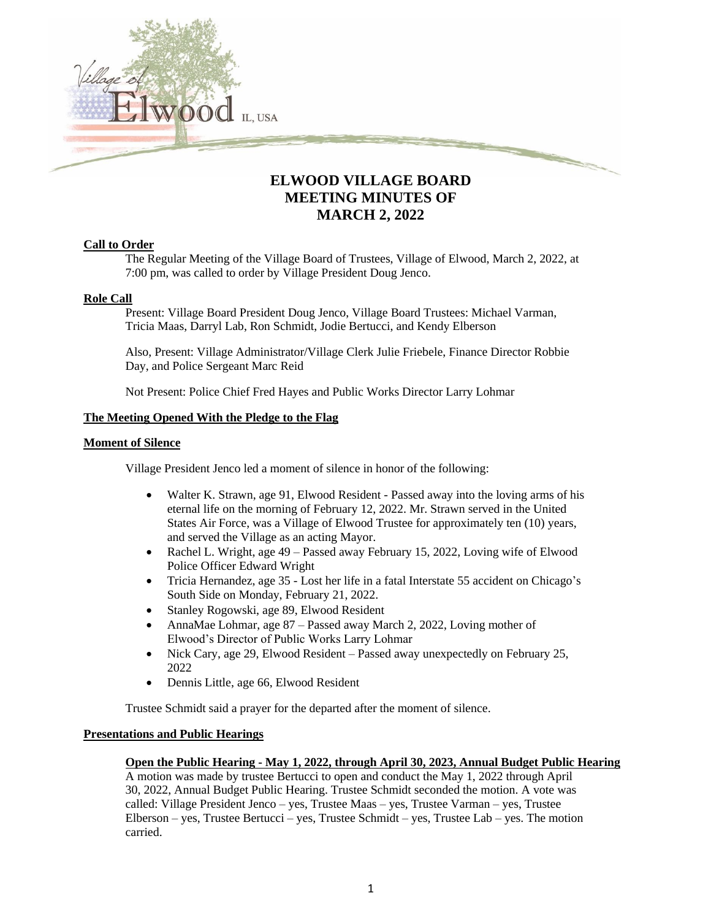

# **ELWOOD VILLAGE BOARD MEETING MINUTES OF MARCH 2, 2022**

### **Call to Order**

The Regular Meeting of the Village Board of Trustees, Village of Elwood, March 2, 2022, at 7:00 pm, was called to order by Village President Doug Jenco.

### **Role Call**

Present: Village Board President Doug Jenco, Village Board Trustees: Michael Varman, Tricia Maas, Darryl Lab, Ron Schmidt, Jodie Bertucci, and Kendy Elberson

Also, Present: Village Administrator/Village Clerk Julie Friebele, Finance Director Robbie Day, and Police Sergeant Marc Reid

Not Present: Police Chief Fred Hayes and Public Works Director Larry Lohmar

### **The Meeting Opened With the Pledge to the Flag**

#### **Moment of Silence**

Village President Jenco led a moment of silence in honor of the following:

- Walter K. Strawn, age 91, Elwood Resident Passed away into the loving arms of his eternal life on the morning of February 12, 2022. Mr. Strawn served in the United States Air Force, was a Village of Elwood Trustee for approximately ten (10) years, and served the Village as an acting Mayor.
- Rachel L. Wright, age 49 Passed away February 15, 2022, Loving wife of Elwood Police Officer Edward Wright
- Tricia Hernandez, age 35 Lost her life in a fatal Interstate 55 accident on Chicago's South Side on Monday, February 21, 2022.
- Stanley Rogowski, age 89, Elwood Resident
- AnnaMae Lohmar, age 87 Passed away March 2, 2022, Loving mother of Elwood's Director of Public Works Larry Lohmar
- Nick Cary, age 29, Elwood Resident Passed away unexpectedly on February 25, 2022
- Dennis Little, age 66, Elwood Resident

Trustee Schmidt said a prayer for the departed after the moment of silence.

### **Presentations and Public Hearings**

### **Open the Public Hearing - May 1, 2022, through April 30, 2023, Annual Budget Public Hearing**

A motion was made by trustee Bertucci to open and conduct the May 1, 2022 through April 30, 2022, Annual Budget Public Hearing. Trustee Schmidt seconded the motion. A vote was called: Village President Jenco – yes, Trustee Maas – yes, Trustee Varman – yes, Trustee Elberson – yes, Trustee Bertucci – yes, Trustee Schmidt – yes, Trustee Lab – yes. The motion carried.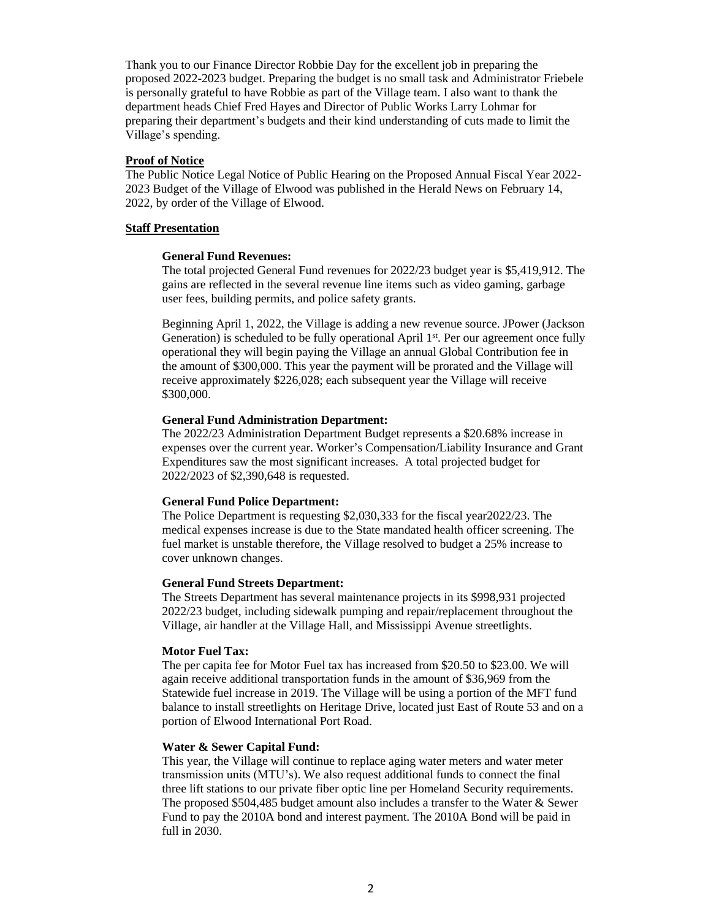Thank you to our Finance Director Robbie Day for the excellent job in preparing the proposed 2022-2023 budget. Preparing the budget is no small task and Administrator Friebele is personally grateful to have Robbie as part of the Village team. I also want to thank the department heads Chief Fred Hayes and Director of Public Works Larry Lohmar for preparing their department's budgets and their kind understanding of cuts made to limit the Village's spending.

### **Proof of Notice**

The Public Notice Legal Notice of Public Hearing on the Proposed Annual Fiscal Year 2022- 2023 Budget of the Village of Elwood was published in the Herald News on February 14, 2022, by order of the Village of Elwood.

#### **Staff Presentation**

### **General Fund Revenues:**

The total projected General Fund revenues for 2022/23 budget year is \$5,419,912. The gains are reflected in the several revenue line items such as video gaming, garbage user fees, building permits, and police safety grants.

Beginning April 1, 2022, the Village is adding a new revenue source. JPower (Jackson Generation) is scheduled to be fully operational April 1<sup>st</sup>. Per our agreement once fully operational they will begin paying the Village an annual Global Contribution fee in the amount of \$300,000. This year the payment will be prorated and the Village will receive approximately \$226,028; each subsequent year the Village will receive \$300,000.

#### **General Fund Administration Department:**

The 2022/23 Administration Department Budget represents a \$20.68% increase in expenses over the current year. Worker's Compensation/Liability Insurance and Grant Expenditures saw the most significant increases. A total projected budget for 2022/2023 of \$2,390,648 is requested.

#### **General Fund Police Department:**

The Police Department is requesting \$2,030,333 for the fiscal year2022/23. The medical expenses increase is due to the State mandated health officer screening. The fuel market is unstable therefore, the Village resolved to budget a 25% increase to cover unknown changes.

#### **General Fund Streets Department:**

The Streets Department has several maintenance projects in its \$998,931 projected 2022/23 budget, including sidewalk pumping and repair/replacement throughout the Village, air handler at the Village Hall, and Mississippi Avenue streetlights.

#### **Motor Fuel Tax:**

The per capita fee for Motor Fuel tax has increased from \$20.50 to \$23.00. We will again receive additional transportation funds in the amount of \$36,969 from the Statewide fuel increase in 2019. The Village will be using a portion of the MFT fund balance to install streetlights on Heritage Drive, located just East of Route 53 and on a portion of Elwood International Port Road.

### **Water & Sewer Capital Fund:**

This year, the Village will continue to replace aging water meters and water meter transmission units (MTU's). We also request additional funds to connect the final three lift stations to our private fiber optic line per Homeland Security requirements. The proposed \$504,485 budget amount also includes a transfer to the Water & Sewer Fund to pay the 2010A bond and interest payment. The 2010A Bond will be paid in full in 2030.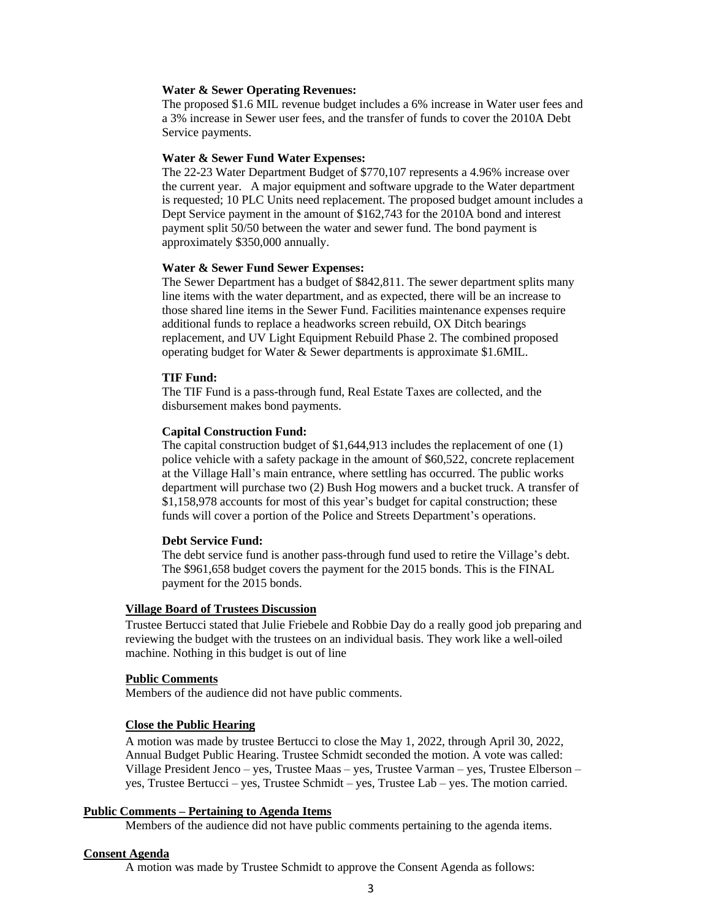#### **Water & Sewer Operating Revenues:**

The proposed \$1.6 MIL revenue budget includes a 6% increase in Water user fees and a 3% increase in Sewer user fees, and the transfer of funds to cover the 2010A Debt Service payments.

#### **Water & Sewer Fund Water Expenses:**

The 22-23 Water Department Budget of \$770,107 represents a 4.96% increase over the current year. A major equipment and software upgrade to the Water department is requested; 10 PLC Units need replacement. The proposed budget amount includes a Dept Service payment in the amount of \$162,743 for the 2010A bond and interest payment split 50/50 between the water and sewer fund. The bond payment is approximately \$350,000 annually.

#### **Water & Sewer Fund Sewer Expenses:**

The Sewer Department has a budget of \$842,811. The sewer department splits many line items with the water department, and as expected, there will be an increase to those shared line items in the Sewer Fund. Facilities maintenance expenses require additional funds to replace a headworks screen rebuild, OX Ditch bearings replacement, and UV Light Equipment Rebuild Phase 2. The combined proposed operating budget for Water & Sewer departments is approximate \$1.6MIL.

#### **TIF Fund:**

The TIF Fund is a pass-through fund, Real Estate Taxes are collected, and the disbursement makes bond payments.

### **Capital Construction Fund:**

The capital construction budget of \$1,644,913 includes the replacement of one (1) police vehicle with a safety package in the amount of \$60,522, concrete replacement at the Village Hall's main entrance, where settling has occurred. The public works department will purchase two (2) Bush Hog mowers and a bucket truck. A transfer of \$1,158,978 accounts for most of this year's budget for capital construction; these funds will cover a portion of the Police and Streets Department's operations.

#### **Debt Service Fund:**

The debt service fund is another pass-through fund used to retire the Village's debt. The \$961,658 budget covers the payment for the 2015 bonds. This is the FINAL payment for the 2015 bonds.

#### **Village Board of Trustees Discussion**

Trustee Bertucci stated that Julie Friebele and Robbie Day do a really good job preparing and reviewing the budget with the trustees on an individual basis. They work like a well-oiled machine. Nothing in this budget is out of line

#### **Public Comments**

Members of the audience did not have public comments.

#### **Close the Public Hearing**

A motion was made by trustee Bertucci to close the May 1, 2022, through April 30, 2022, Annual Budget Public Hearing. Trustee Schmidt seconded the motion. A vote was called: Village President Jenco – yes, Trustee Maas – yes, Trustee Varman – yes, Trustee Elberson – yes, Trustee Bertucci – yes, Trustee Schmidt – yes, Trustee Lab – yes. The motion carried.

#### **Public Comments – Pertaining to Agenda Items**

Members of the audience did not have public comments pertaining to the agenda items.

#### **Consent Agenda**

A motion was made by Trustee Schmidt to approve the Consent Agenda as follows: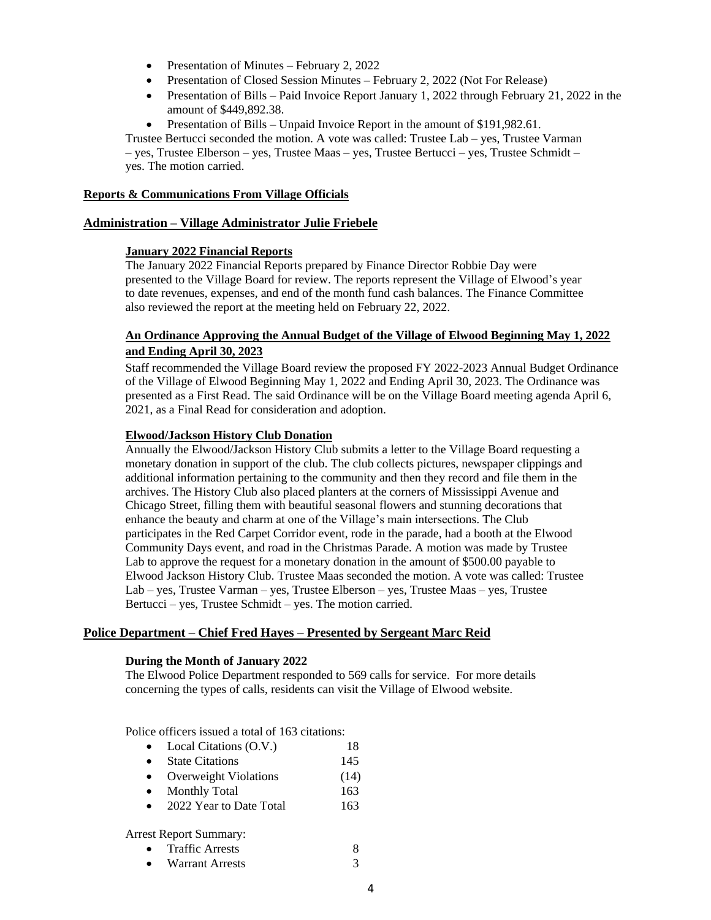- Presentation of Minutes February 2, 2022
- Presentation of Closed Session Minutes February 2, 2022 (Not For Release)
- Presentation of Bills Paid Invoice Report January 1, 2022 through February 21, 2022 in the amount of \$449,892.38.
- Presentation of Bills Unpaid Invoice Report in the amount of \$191,982.61.

Trustee Bertucci seconded the motion. A vote was called: Trustee Lab – yes, Trustee Varman – yes, Trustee Elberson – yes, Trustee Maas – yes, Trustee Bertucci – yes, Trustee Schmidt – yes. The motion carried.

### **Reports & Communications From Village Officials**

### **Administration – Village Administrator Julie Friebele**

# **January 2022 Financial Reports**

The January 2022 Financial Reports prepared by Finance Director Robbie Day were presented to the Village Board for review. The reports represent the Village of Elwood's year to date revenues, expenses, and end of the month fund cash balances. The Finance Committee also reviewed the report at the meeting held on February 22, 2022.

# **An Ordinance Approving the Annual Budget of the Village of Elwood Beginning May 1, 2022 and Ending April 30, 2023**

Staff recommended the Village Board review the proposed FY 2022-2023 Annual Budget Ordinance of the Village of Elwood Beginning May 1, 2022 and Ending April 30, 2023. The Ordinance was presented as a First Read. The said Ordinance will be on the Village Board meeting agenda April 6, 2021, as a Final Read for consideration and adoption.

### **Elwood/Jackson History Club Donation**

Annually the Elwood/Jackson History Club submits a letter to the Village Board requesting a monetary donation in support of the club. The club collects pictures, newspaper clippings and additional information pertaining to the community and then they record and file them in the archives. The History Club also placed planters at the corners of Mississippi Avenue and Chicago Street, filling them with beautiful seasonal flowers and stunning decorations that enhance the beauty and charm at one of the Village's main intersections. The Club participates in the Red Carpet Corridor event, rode in the parade, had a booth at the Elwood Community Days event, and road in the Christmas Parade. A motion was made by Trustee Lab to approve the request for a monetary donation in the amount of \$500.00 payable to Elwood Jackson History Club. Trustee Maas seconded the motion. A vote was called: Trustee Lab – yes, Trustee Varman – yes, Trustee Elberson – yes, Trustee Maas – yes, Trustee Bertucci – yes, Trustee Schmidt – yes. The motion carried.

# **Police Department – Chief Fred Hayes – Presented by Sergeant Marc Reid**

### **During the Month of January 2022**

The Elwood Police Department responded to 569 calls for service. For more details concerning the types of calls, residents can visit the Village of Elwood website.

Police officers issued a total of 163 citations:

- Local Citations (O.V.) 18
- State Citations 145
- Overweight Violations (14)
- Monthly Total 163
- 2022 Year to Date Total 163

Arrest Report Summary:

- Traffic Arrests 8
- Warrant Arrests 3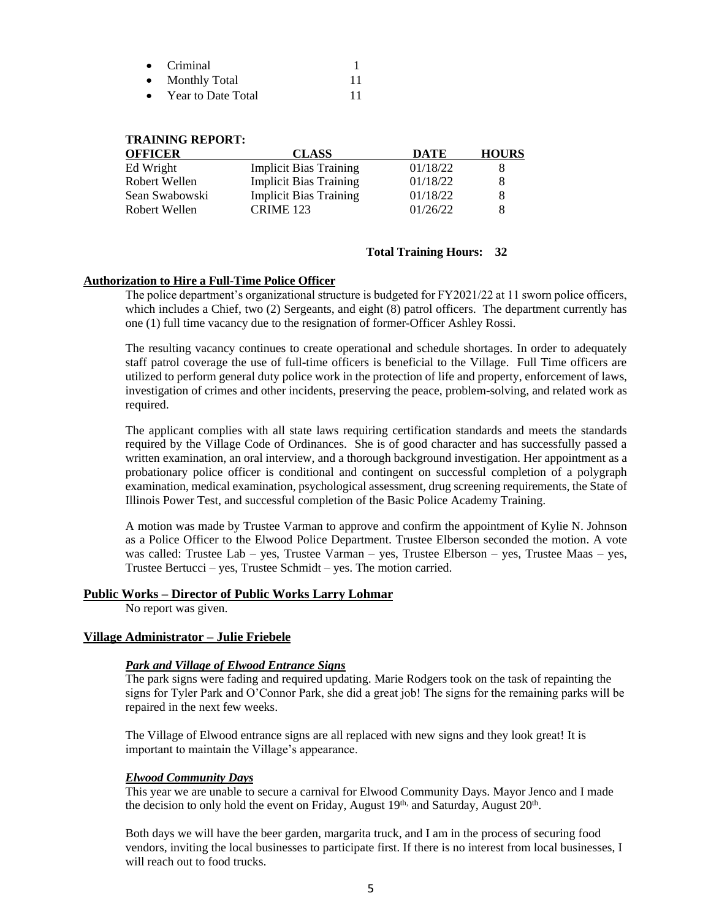| $\bullet$ | Criminal             |  |
|-----------|----------------------|--|
| $\bullet$ | <b>Monthly Total</b> |  |
|           |                      |  |

• Year to Date Total 11

### **TRAINING REPORT:**

| <b>OFFICER</b> | <b>CLASS</b>                  | <b>DATE</b> | <b>HOURS</b> |
|----------------|-------------------------------|-------------|--------------|
| Ed Wright      | <b>Implicit Bias Training</b> | 01/18/22    | x            |
| Robert Wellen  | <b>Implicit Bias Training</b> | 01/18/22    | 8            |
| Sean Swabowski | <b>Implicit Bias Training</b> | 01/18/22    | 8            |
| Robert Wellen  | <b>CRIME 123</b>              | 01/26/22    | 8            |

### **Total Training Hours: 32**

### **Authorization to Hire a Full-Time Police Officer**

The police department's organizational structure is budgeted for FY2021/22 at 11 sworn police officers, which includes a Chief, two (2) Sergeants, and eight (8) patrol officers. The department currently has one (1) full time vacancy due to the resignation of former-Officer Ashley Rossi.

The resulting vacancy continues to create operational and schedule shortages. In order to adequately staff patrol coverage the use of full-time officers is beneficial to the Village. Full Time officers are utilized to perform general duty police work in the protection of life and property, enforcement of laws, investigation of crimes and other incidents, preserving the peace, problem-solving, and related work as required.

The applicant complies with all state laws requiring certification standards and meets the standards required by the Village Code of Ordinances. She is of good character and has successfully passed a written examination, an oral interview, and a thorough background investigation. Her appointment as a probationary police officer is conditional and contingent on successful completion of a polygraph examination, medical examination, psychological assessment, drug screening requirements, the State of Illinois Power Test, and successful completion of the Basic Police Academy Training.

A motion was made by Trustee Varman to approve and confirm the appointment of Kylie N. Johnson as a Police Officer to the Elwood Police Department. Trustee Elberson seconded the motion. A vote was called: Trustee Lab – yes, Trustee Varman – yes, Trustee Elberson – yes, Trustee Maas – yes, Trustee Bertucci – yes, Trustee Schmidt – yes. The motion carried.

### **Public Works – Director of Public Works Larry Lohmar**

No report was given.

# **Village Administrator – Julie Friebele**

### *Park and Village of Elwood Entrance Signs*

The park signs were fading and required updating. Marie Rodgers took on the task of repainting the signs for Tyler Park and O'Connor Park, she did a great job! The signs for the remaining parks will be repaired in the next few weeks.

The Village of Elwood entrance signs are all replaced with new signs and they look great! It is important to maintain the Village's appearance.

### *Elwood Community Days*

This year we are unable to secure a carnival for Elwood Community Days. Mayor Jenco and I made the decision to only hold the event on Friday, August 19<sup>th,</sup> and Saturday, August 20<sup>th</sup>.

Both days we will have the beer garden, margarita truck, and I am in the process of securing food vendors, inviting the local businesses to participate first. If there is no interest from local businesses, I will reach out to food trucks.